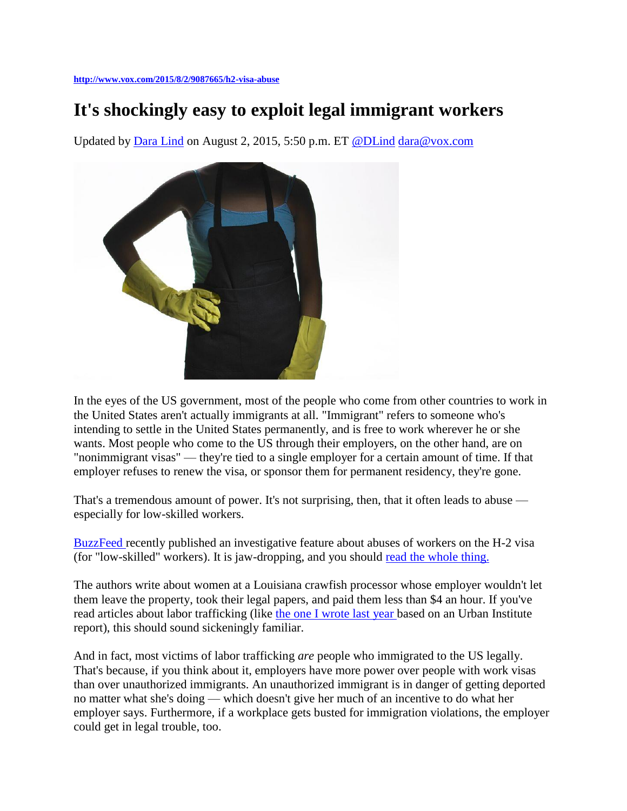## **It's shockingly easy to exploit legal immigrant workers**

Updated by [Dara Lind](http://www.vox.com/authors/dara-lind) on August 2, 2015, 5:50 p.m. ET [@DLind](http://twitter.com/DLind) [dara@vox.com](mailto:dara@vox.com)



In the eyes of the US government, most of the people who come from other countries to work in the United States aren't actually immigrants at all. "Immigrant" refers to someone who's intending to settle in the United States permanently, and is free to work wherever he or she wants. Most people who come to the US through their employers, on the other hand, are on "nonimmigrant visas" — they're tied to a single employer for a certain amount of time. If that employer refuses to renew the visa, or sponsor them for permanent residency, they're gone.

That's a tremendous amount of power. It's not surprising, then, that it often leads to abuse especially for low-skilled workers.

[BuzzFeed r](http://www.buzzfeed.com/jessicagarrison/the-new-american-slavery-invited-to-the-us-foreign-workers-f#.veXjo36Gk)ecently published an investigative feature about abuses of workers on the H-2 visa (for "low-skilled" workers). It is jaw-dropping, and you should [read the whole thing.](http://www.buzzfeed.com/jessicagarrison/the-new-american-slavery-invited-to-the-us-foreign-workers-f#.veXjo36Gk) 

The authors write about women at a Louisiana crawfish processor whose employer wouldn't let them leave the property, took their legal papers, and paid them less than \$4 an hour. If you've read articles about labor trafficking (like [the one I wrote last year b](http://www.vox.com/2014/10/22/7024483/labor-trafficking-immigrants-exploitation-forced-us-agriculture-domestic-servants-hotel-workers)ased on an Urban Institute report), this should sound sickeningly familiar.

And in fact, most victims of labor trafficking *are* people who immigrated to the US legally. That's because, if you think about it, employers have more power over people with work visas than over unauthorized immigrants. An unauthorized immigrant is in danger of getting deported no matter what she's doing — which doesn't give her much of an incentive to do what her employer says. Furthermore, if a workplace gets busted for immigration violations, the employer could get in legal trouble, too.